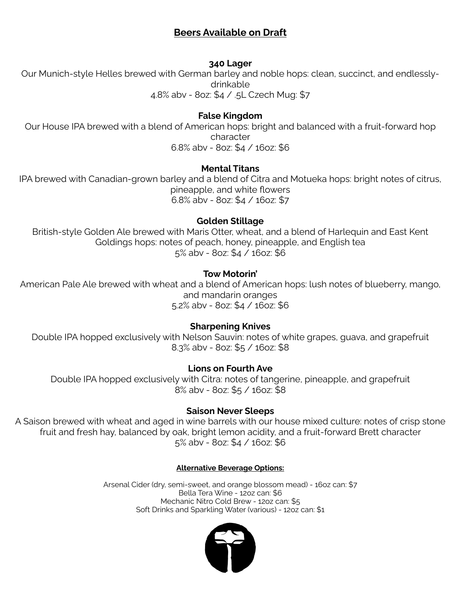# **Beers Available on Draft**

### **340 Lager**

Our Munich-style Helles brewed with German barley and noble hops: clean, succinct, and endlesslydrinkable

4.8% abv - 8oz: \$4 / .5L Czech Mug: \$7

## **False Kingdom**

Our House IPA brewed with a blend of American hops: bright and balanced with a fruit-forward hop character 6.8% abv - 8oz: \$4 / 16oz: \$6

### **Mental Titans**

IPA brewed with Canadian-grown barley and a blend of Citra and Motueka hops: bright notes of citrus, pineapple, and white flowers 6.8% abv - 8oz: \$4 / 16oz: \$7

### **Golden Stillage**

British-style Golden Ale brewed with Maris Otter, wheat, and a blend of Harlequin and East Kent Goldings hops: notes of peach, honey, pineapple, and English tea 5% abv - 8oz: \$4 / 16oz: \$6

# **Tow Motorin'**

American Pale Ale brewed with wheat and a blend of American hops: lush notes of blueberry, mango, and mandarin oranges 5.2% abv - 8oz: \$4 / 16oz: \$6

# **Sharpening Knives**

Double IPA hopped exclusively with Nelson Sauvin: notes of white grapes, guava, and grapefruit 8.3% abv - 8oz: \$5 / 16oz: \$8

# **Lions on Fourth Ave**

Double IPA hopped exclusively with Citra: notes of tangerine, pineapple, and grapefruit 8% abv - 8oz: \$5 / 16oz: \$8

# **Saison Never Sleeps**

A Saison brewed with wheat and aged in wine barrels with our house mixed culture: notes of crisp stone fruit and fresh hay, balanced by oak, bright lemon acidity, and a fruit-forward Brett character 5% abv - 8oz: \$4 / 16oz: \$6

### **Alternative Beverage Options:**

Arsenal Cider (dry, semi-sweet, and orange blossom mead) - 16oz can: \$7 Bella Tera Wine - 12oz can: \$6 Mechanic Nitro Cold Brew - 12oz can: \$5 Soft Drinks and Sparkling Water (various) - 12oz can: \$1